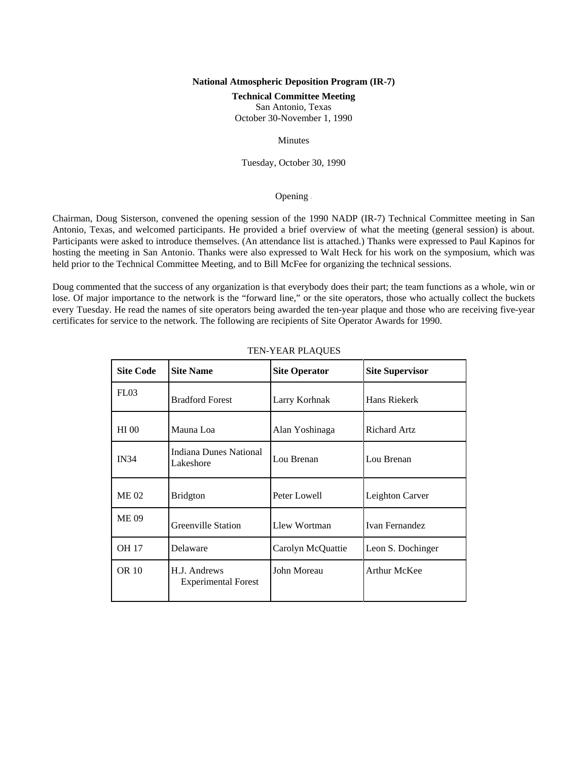# **National Atmospheric Deposition Program (IR-7)**

#### **Technical Committee Meeting**

San Antonio, Texas

October 30-November 1, 1990

# Minutes

Tuesday, October 30, 1990

# Opening -

Chairman, Doug Sisterson, convened the opening session of the 1990 NADP (IR-7) Technical Committee meeting in San Antonio, Texas, and welcomed participants. He provided a brief overview of what the meeting (general session) is about. Participants were asked to introduce themselves. (An attendance list is attached.) Thanks were expressed to Paul Kapinos for hosting the meeting in San Antonio. Thanks were also expressed to Walt Heck for his work on the symposium, which was held prior to the Technical Committee Meeting, and to Bill McFee for organizing the technical sessions.

Doug commented that the success of any organization is that everybody does their part; the team functions as a whole, win or lose. Of major importance to the network is the "forward line," or the site operators, those who actually collect the buckets every Tuesday. He read the names of site operators being awarded the ten-year plaque and those who are receiving five-year certificates for service to the network. The following are recipients of Site Operator Awards for 1990.

| <b>Site Code</b> | <b>Site Name</b>                           | <b>Site Operator</b> | <b>Site Supervisor</b> |
|------------------|--------------------------------------------|----------------------|------------------------|
| FL03             | <b>Bradford Forest</b>                     | Larry Korhnak        | Hans Riekerk           |
| <b>HI</b> 00     | Mauna Loa                                  | Alan Yoshinaga       | <b>Richard Artz</b>    |
| <b>IN34</b>      | <b>Indiana Dunes National</b><br>Lakeshore | Lou Brenan           | Lou Brenan             |
| <b>ME02</b>      | <b>Bridgton</b>                            | Peter Lowell         | Leighton Carver        |
| <b>ME09</b>      | Greenville Station                         | Llew Wortman         | <b>Ivan Fernandez</b>  |
| <b>OH 17</b>     | Delaware                                   | Carolyn McQuattie    | Leon S. Dochinger      |
| <b>OR 10</b>     | H.J. Andrews<br><b>Experimental Forest</b> | John Moreau          | <b>Arthur McKee</b>    |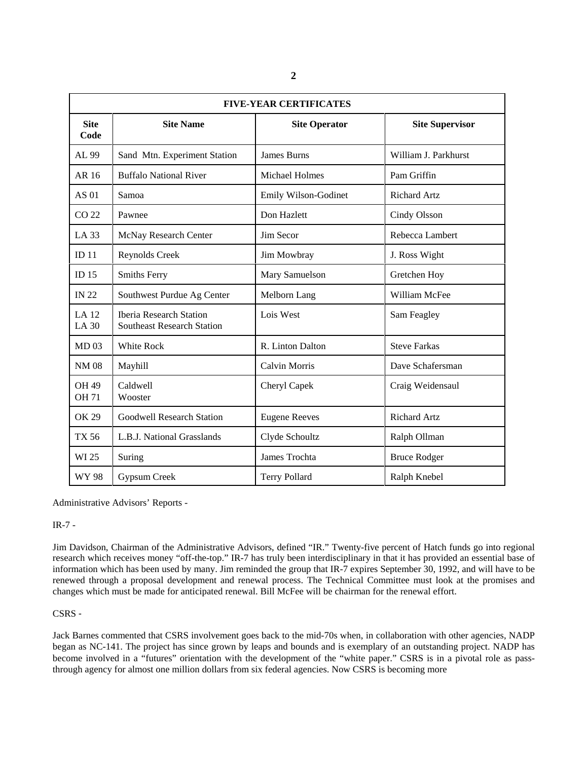| <b>FIVE-YEAR CERTIFICATES</b> |                                                                     |                       |                        |  |
|-------------------------------|---------------------------------------------------------------------|-----------------------|------------------------|--|
| <b>Site</b><br>Code           | <b>Site Name</b>                                                    | <b>Site Operator</b>  | <b>Site Supervisor</b> |  |
| AL 99                         | Sand Mtn. Experiment Station                                        | <b>James Burns</b>    | William J. Parkhurst   |  |
| AR 16                         | <b>Buffalo National River</b>                                       | <b>Michael Holmes</b> | Pam Griffin            |  |
| AS 01                         | Samoa                                                               | Emily Wilson-Godinet  | <b>Richard Artz</b>    |  |
| CO <sub>22</sub>              | Pawnee                                                              | Don Hazlett           | Cindy Olsson           |  |
| LA 33                         | McNay Research Center                                               | Jim Secor             | Rebecca Lambert        |  |
| ID <sub>11</sub>              | Reynolds Creek                                                      | Jim Mowbray           | J. Ross Wight          |  |
| ID $15$                       | <b>Smiths Ferry</b>                                                 | Mary Samuelson        | Gretchen Hoy           |  |
| <b>IN 22</b>                  | Southwest Purdue Ag Center                                          | Melborn Lang          | William McFee          |  |
| LA 12<br><b>LA 30</b>         | <b>Iberia Research Station</b><br><b>Southeast Research Station</b> | Lois West             | Sam Feagley            |  |
| MD <sub>03</sub>              | White Rock                                                          | R. Linton Dalton      | <b>Steve Farkas</b>    |  |
| <b>NM08</b>                   | Mayhill                                                             | <b>Calvin Morris</b>  | Dave Schafersman       |  |
| <b>OH 49</b><br><b>OH 71</b>  | Caldwell<br>Wooster                                                 | Cheryl Capek          | Craig Weidensaul       |  |
| <b>OK 29</b>                  | <b>Goodwell Research Station</b>                                    | <b>Eugene Reeves</b>  | <b>Richard Artz</b>    |  |
| <b>TX 56</b>                  | L.B.J. National Grasslands                                          | Clyde Schoultz        | Ralph Ollman           |  |
| WI 25                         | Suring                                                              | James Trochta         | <b>Bruce Rodger</b>    |  |
| WY 98                         | Gypsum Creek                                                        | <b>Terry Pollard</b>  | Ralph Knebel           |  |

Administrative Advisors' Reports -

# IR-7 -

Jim Davidson, Chairman of the Administrative Advisors, defined "IR." Twenty-five percent of Hatch funds go into regional research which receives money "off-the-top." IR-7 has truly been interdisciplinary in that it has provided an essential base of information which has been used by many. Jim reminded the group that IR-7 expires September 30, 1992, and will have to be renewed through a proposal development and renewal process. The Technical Committee must look at the promises and changes which must be made for anticipated renewal. Bill McFee will be chairman for the renewal effort.

# CSRS -

Jack Barnes commented that CSRS involvement goes back to the mid-70s when, in collaboration with other agencies, NADP began as NC-141. The project has since grown by leaps and bounds and is exemplary of an outstanding project. NADP has become involved in a "futures" orientation with the development of the "white paper." CSRS is in a pivotal role as passthrough agency for almost one million dollars from six federal agencies. Now CSRS is becoming more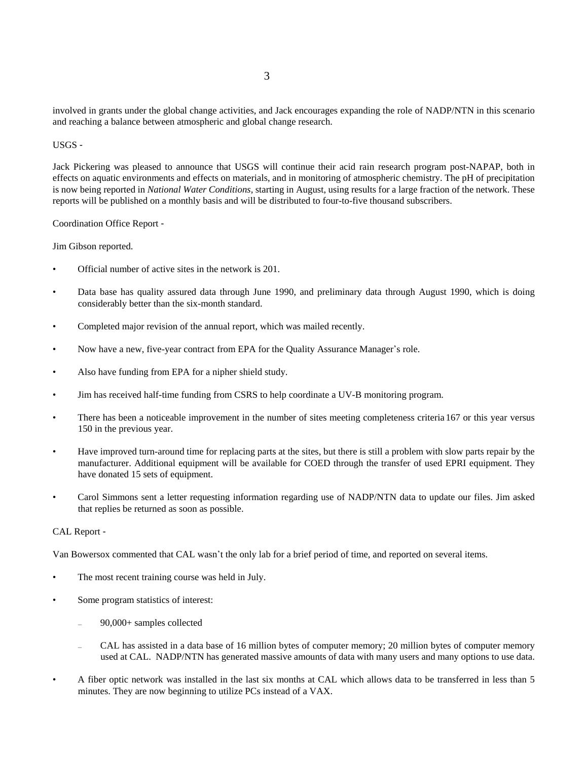involved in grants under the global change activities, and Jack encourages expanding the role of NADP/NTN in this scenario and reaching a balance between atmospheric and global change research.

# USGS -

Jack Pickering was pleased to announce that USGS will continue their acid rain research program post-NAPAP, both in effects on aquatic environments and effects on materials, and in monitoring of atmospheric chemistry. The pH of precipitation is now being reported in *National Water Conditions,* starting in August, using results for a large fraction of the network. These reports will be published on a monthly basis and will be distributed to four-to-five thousand subscribers.

Coordination Office Report -

Jim Gibson reported.

- Official number of active sites in the network is 201.
- Data base has quality assured data through June 1990, and preliminary data through August 1990, which is doing considerably better than the six-month standard.
- Completed major revision of the annual report, which was mailed recently.
- Now have a new, five-year contract from EPA for the Quality Assurance Manager\*s role.
- Also have funding from EPA for a nipher shield study.
- Jim has received half-time funding from CSRS to help coordinate a UV-B monitoring program.
- There has been a noticeable improvement in the number of sites meeting completeness criteria 167 or this year versus 150 in the previous year.
- Have improved turn-around time for replacing parts at the sites, but there is still a problem with slow parts repair by the manufacturer. Additional equipment will be available for COED through the transfer of used EPRI equipment. They have donated 15 sets of equipment.
- Carol Simmons sent a letter requesting information regarding use of NADP/NTN data to update our files. Jim asked that replies be returned as soon as possible.

# CAL Report -

Van Bowersox commented that CAL wasn't the only lab for a brief period of time, and reported on several items.

- The most recent training course was held in July.
- Some program statistics of interest:
	- 90,000+ samples collected
	- CAL has assisted in a data base of 16 million bytes of computer memory; 20 million bytes of computer memory used at CAL. NADP/NTN has generated massive amounts of data with many users and many options to use data.
- A fiber optic network was installed in the last six months at CAL which allows data to be transferred in less than 5 minutes. They are now beginning to utilize PCs instead of a VAX.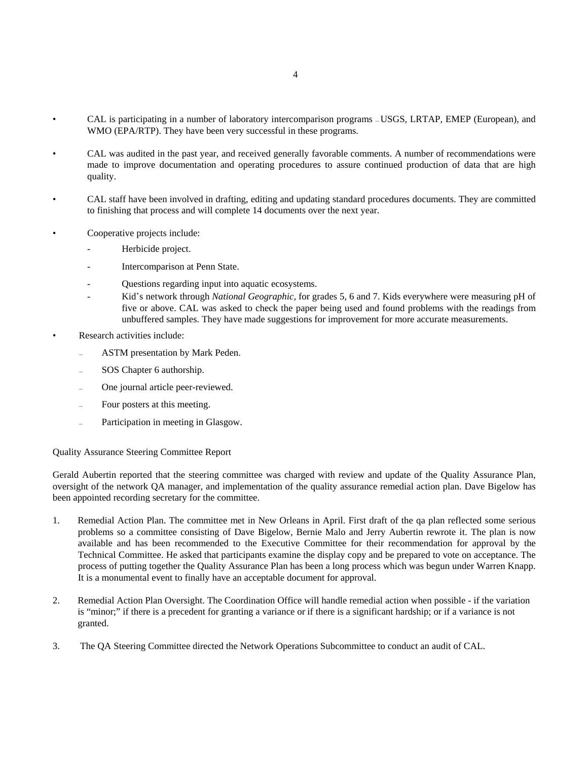- CAL is participating in a number of laboratory intercomparison programs USGS, LRTAP, EMEP (European), and WMO (EPA/RTP). They have been very successful in these programs.
- CAL was audited in the past year, and received generally favorable comments. A number of recommendations were made to improve documentation and operating procedures to assure continued production of data that are high quality.
- CAL staff have been involved in drafting, editing and updating standard procedures documents. They are committed to finishing that process and will complete 14 documents over the next year.
- Cooperative projects include:
	- Herbicide project.
	- Intercomparison at Penn State.
	- Questions regarding input into aquatic ecosystems.
	- Kid's network through *National Geographic*, for grades 5, 6 and 7. Kids everywhere were measuring pH of five or above. CAL was asked to check the paper being used and found problems with the readings from unbuffered samples. They have made suggestions for improvement for more accurate measurements.
- Research activities include:
	- ASTM presentation by Mark Peden.
	- SOS Chapter 6 authorship.
	- One journal article peer-reviewed.
	- Four posters at this meeting.
	- Participation in meeting in Glasgow.

# Quality Assurance Steering Committee Report

Gerald Aubertin reported that the steering committee was charged with review and update of the Quality Assurance Plan, oversight of the network QA manager, and implementation of the quality assurance remedial action plan. Dave Bigelow has been appointed recording secretary for the committee.

- 1. Remedial Action Plan. The committee met in New Orleans in April. First draft of the qa plan reflected some serious problems so a committee consisting of Dave Bigelow, Bernie Malo and Jerry Aubertin rewrote it. The plan is now available and has been recommended to the Executive Committee for their recommendation for approval by the Technical Committee. He asked that participants examine the display copy and be prepared to vote on acceptance. The process of putting together the Quality Assurance Plan has been a long process which was begun under Warren Knapp. It is a monumental event to finally have an acceptable document for approval.
- 2. Remedial Action Plan Oversight. The Coordination Office will handle remedial action when possible if the variation is "minor;" if there is a precedent for granting a variance or if there is a significant hardship; or if a variance is not granted.
- 3. The QA Steering Committee directed the Network Operations Subcommittee to conduct an audit of CAL.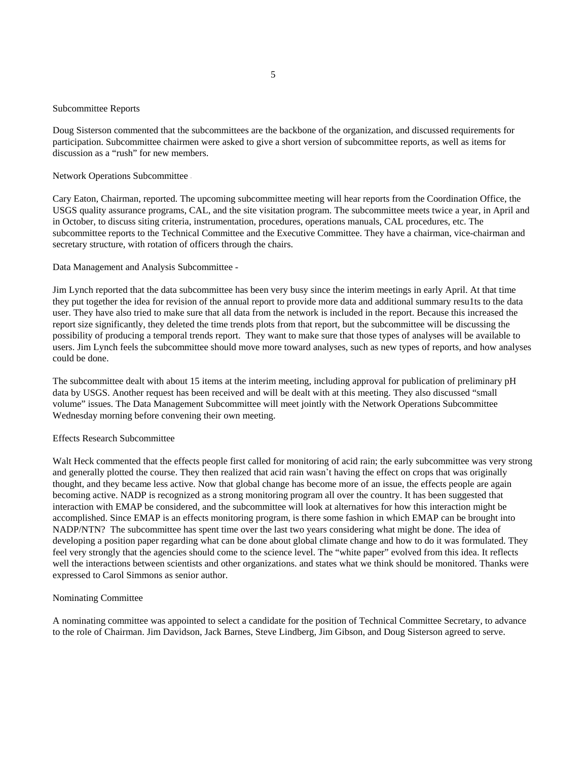#### Subcommittee Reports

Doug Sisterson commented that the subcommittees are the backbone of the organization, and discussed requirements for participation. Subcommittee chairmen were asked to give a short version of subcommittee reports, as well as items for discussion as a "rush" for new members.

Network Operations Subcommittee -

Cary Eaton, Chairman, reported. The upcoming subcommittee meeting will hear reports from the Coordination Office, the USGS quality assurance programs, CAL, and the site visitation program. The subcommittee meets twice a year, in April and in October, to discuss siting criteria, instrumentation, procedures, operations manuals, CAL procedures, etc. The subcommittee reports to the Technical Committee and the Executive Committee. They have a chairman, vice-chairman and secretary structure, with rotation of officers through the chairs.

Data Management and Analysis Subcommittee -

Jim Lynch reported that the data subcommittee has been very busy since the interim meetings in early April. At that time they put together the idea for revision of the annual report to provide more data and additional summary resu1ts to the data user. They have also tried to make sure that all data from the network is included in the report. Because this increased the report size significantly, they deleted the time trends plots from that report, but the subcommittee will be discussing the possibility of producing a temporal trends report. They want to make sure that those types of analyses will be available to users. Jim Lynch feels the subcommittee should move more toward analyses, such as new types of reports, and how analyses could be done.

The subcommittee dealt with about 15 items at the interim meeting, including approval for publication of preliminary pH data by USGS. Another request has been received and will be dealt with at this meeting. They also discussed "small volume" issues. The Data Management Subcommittee will meet jointly with the Network Operations Subcommittee Wednesday morning before convening their own meeting.

#### Effects Research Subcommittee

Walt Heck commented that the effects people first called for monitoring of acid rain; the early subcommittee was very strong and generally plotted the course. They then realized that acid rain wasn't having the effect on crops that was originally thought, and they became less active. Now that global change has become more of an issue, the effects people are again becoming active. NADP is recognized as a strong monitoring program all over the country. It has been suggested that interaction with EMAP be considered, and the subcommittee will look at alternatives for how this interaction might be accomplished. Since EMAP is an effects monitoring program, is there some fashion in which EMAP can be brought into NADP/NTN? The subcommittee has spent time over the last two years considering what might be done. The idea of developing a position paper regarding what can be done about global climate change and how to do it was formulated. They feel very strongly that the agencies should come to the science level. The "white paper" evolved from this idea. It reflects well the interactions between scientists and other organizations. and states what we think should be monitored. Thanks were expressed to Carol Simmons as senior author.

#### Nominating Committee

A nominating committee was appointed to select a candidate for the position of Technical Committee Secretary, to advance to the role of Chairman. Jim Davidson, Jack Barnes, Steve Lindberg, Jim Gibson, and Doug Sisterson agreed to serve.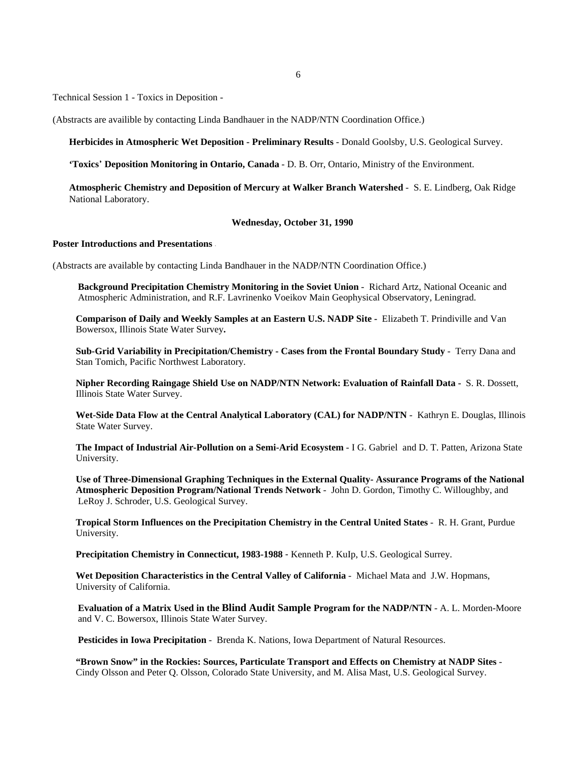6

Technical Session 1 - Toxics in Deposition -

(Abstracts are availible by contacting Linda Bandhauer in the NADP/NTN Coordination Office.)

**Herbicides in Atmospheric Wet Deposition - Preliminary Results** - Donald Goolsby, U.S. Geological Survey.

**'Toxics**\* **Deposition Monitoring in Ontario, Canada** - D. B. Orr, Ontario, Ministry of the Environment.

**Atmospheric Chemistry and Deposition of Mercury at Walker Branch Watershed** - S. E. Lindberg, Oak Ridge National Laboratory.

#### **Wednesday, October 31, 1990**

### **Poster Introductions and Presentations** -

(Abstracts are available by contacting Linda Bandhauer in the NADP/NTN Coordination Office.)

**Background Precipitation Chemistry Monitoring in the Soviet Union** - Richard Artz, National Oceanic and Atmospheric Administration, and R.F. Lavrinenko Voeikov Main Geophysical Observatory, Leningrad.

**Comparison of Daily and Weekly Samples at an Eastern U.S. NADP Site -** Elizabeth T. Prindiville and Van Bowersox, Illinois State Water Survey**.**

**Sub-Grid Variability in Precipitation/Chemistry - Cases from the Frontal Boundary Study** - Terry Dana and Stan Tomich, Pacific Northwest Laboratory.

**Nipher Recording Raingage Shield Use on NADP/NTN Network: Evaluation of Rainfall Data -** S. R. Dossett, Illinois State Water Survey.

**Wet-Side Data Flow at the Central Analytical Laboratory (CAL) for NADP/NTN** - Kathryn E. Douglas, Illinois State Water Survey.

**The Impact of Industrial Air-Pollution on a Semi-Arid Ecosystem** - I G. Gabriel and D. T. Patten, Arizona State University.

**Use of Three-Dimensional Graphing Techniques in the External Quality- Assurance Programs of the National Atmospheric Deposition Program/National Trends Network** - John D. Gordon, Timothy C. Willoughby, and LeRoy J. Schroder, U.S. Geological Survey.

**Tropical Storm Influences on the Precipitation Chemistry in the Central United States** - R. H. Grant, Purdue University.

**Precipitation Chemistry in Connecticut, 1983-1988** - Kenneth P. KuIp, U.S. Geological Surrey.

**Wet Deposition Characteristics in the Central Valley of California** - Michael Mata and J.W. Hopmans, University of California.

**Evaluation of a Matrix Used in the Blind Audit Sample Program for the NADP/NTN** - A. L. Morden-Moore and V. C. Bowersox, Illinois State Water Survey.

**Pesticides in Iowa Precipitation** - Brenda K. Nations, Iowa Department of Natural Resources.

**"Brown Snow" in the Rockies: Sources, Particulate Transport and Effects on Chemistry at NADP Sites** - Cindy Olsson and Peter Q. Olsson, Colorado State University, and M. Alisa Mast, U.S. Geological Survey.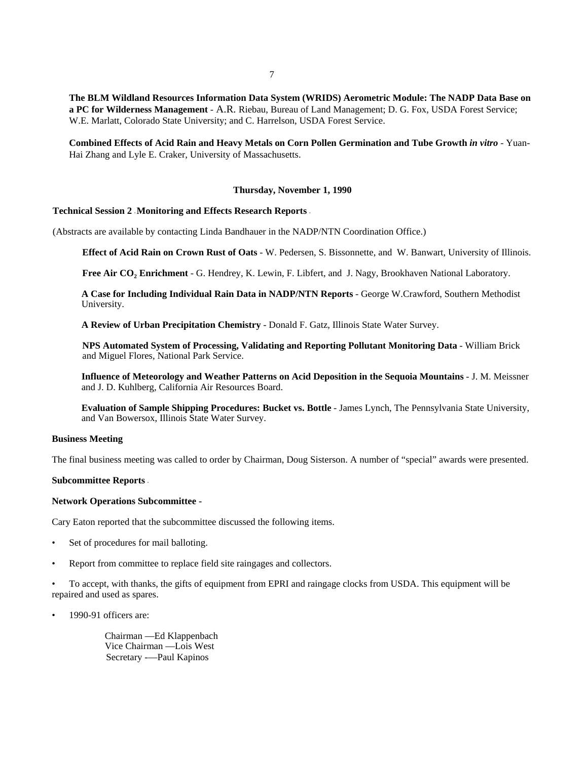**The BLM Wildland Resources Information Data System (WRIDS) Aerometric Module: The NADP Data Base on a PC for Wilderness Management** - A.R. Riebau, Bureau of Land Management; D. G. Fox, USDA Forest Service; W.E. Marlatt, Colorado State University; and C. Harrelson, USDA Forest Service.

**Combined Effects of Acid Rain and Heavy Metals on Corn Pollen Germination and Tube Growth** *in vitro* - Yuan-Hai Zhang and Lyle E. Craker, University of Massachusetts.

### **Thursday, November 1, 1990**

### **Technical Session 2 - Monitoring and Effects Research Reports -**

(Abstracts are available by contacting Linda Bandhauer in the NADP/NTN Coordination Office.)

**Effect of Acid Rain on Crown Rust of Oats** - W. Pedersen, S. Bissonnette, and W. Banwart, University of Illinois.

Free Air CO<sub>2</sub> Enrichment - G. Hendrey, K. Lewin, F. Libfert, and J. Nagy, Brookhaven National Laboratory.

**A Case for Including Individual Rain Data in NADP/NTN Reports** - George W.Crawford, Southern Methodist University.

**A Review of Urban Precipitation Chemistry** - Donald F. Gatz, Illinois State Water Survey.

**NPS Automated System of Processing, Validating and Reporting Pollutant Monitoring Data** - William Brick and Miguel Flores, National Park Service.

**Influence of Meteorology and Weather Patterns on Acid Deposition in the Sequoia Mountains** - J. M. Meissner and J. D. Kuhlberg, California Air Resources Board.

**Evaluation of Sample Shipping Procedures: Bucket vs. Bottle** - James Lynch, The Pennsylvania State University, and Van Bowersox, Illinois State Water Survey.

### **Business Meeting**

The final business meeting was called to order by Chairman, Doug Sisterson. A number of "special" awards were presented.

### **Subcommittee Reports -**

#### **Network Operations Subcommittee -**

Cary Eaton reported that the subcommittee discussed the following items.

- Set of procedures for mail balloting.
- Report from committee to replace field site raingages and collectors.

• To accept, with thanks, the gifts of equipment from EPRI and raingage clocks from USDA. This equipment will be repaired and used as spares.

• 1990-91 officers are:

Chairman —Ed Klappenbach Vice Chairman —Lois West Secretary -—Paul Kapinos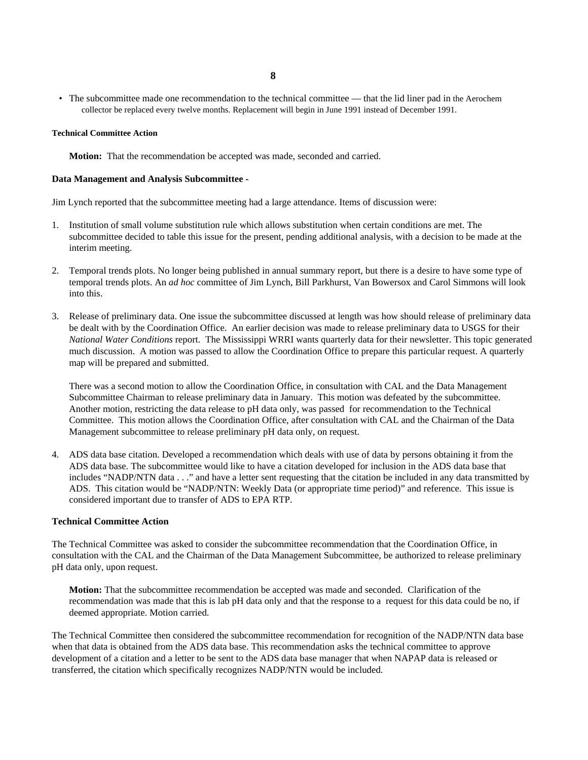- **8**
- The subcommittee made one recommendation to the technical committee that the lid liner pad in the Aerochem collector be replaced every twelve months. Replacement will begin in June 1991 instead of December 1991.

### **Technical Committee Action**

**Motion:** That the recommendation be accepted was made, seconded and carried.

# **Data Management and Analysis Subcommittee -**

Jim Lynch reported that the subcommittee meeting had a large attendance. Items of discussion were:

- 1. Institution of small volume substitution rule which allows substitution when certain conditions are met. The subcommittee decided to table this issue for the present, pending additional analysis, with a decision to be made at the interim meeting.
- 2. Temporal trends plots. No longer being published in annual summary report, but there is a desire to have some type of temporal trends plots. An *ad hoc* committee of Jim Lynch, Bill Parkhurst, Van Bowersox and Carol Simmons will look into this.
- 3. Release of preliminary data. One issue the subcommittee discussed at length was how should release of preliminary data be dealt with by the Coordination Office. An earlier decision was made to release preliminary data to USGS for their *National Water Conditions* report. The Mississippi WRRI wants quarterly data for their newsletter. This topic generated much discussion. A motion was passed to allow the Coordination Office to prepare this particular request. A quarterly map will be prepared and submitted.

There was a second motion to allow the Coordination Office, in consultation with CAL and the Data Management Subcommittee Chairman to release preliminary data in January. This motion was defeated by the subcommittee. Another motion, restricting the data release to pH data only, was passed for recommendation to the Technical Committee. This motion allows the Coordination Office, after consultation with CAL and the Chairman of the Data Management subcommittee to release preliminary pH data only, on request.

4. ADS data base citation. Developed a recommendation which deals with use of data by persons obtaining it from the ADS data base. The subcommittee would like to have a citation developed for inclusion in the ADS data base that includes "NADP/NTN data . . ." and have a letter sent requesting that the citation be included in any data transmitted by ADS. This citation would be "NADP/NTN: Weekly Data (or appropriate time period)" and reference. This issue is considered important due to transfer of ADS to EPA RTP.

# **Technical Committee Action**

The Technical Committee was asked to consider the subcommittee recommendation that the Coordination Office, in consultation with the CAL and the Chairman of the Data Management Subcommittee, be authorized to release preliminary pH data only, upon request.

**Motion:** That the subcommittee recommendation be accepted was made and seconded. Clarification of the recommendation was made that this is lab pH data only and that the response to a request for this data could be no, if deemed appropriate. Motion carried.

The Technical Committee then considered the subcommittee recommendation for recognition of the NADP/NTN data base when that data is obtained from the ADS data base. This recommendation asks the technical committee to approve development of a citation and a letter to be sent to the ADS data base manager that when NAPAP data is released or transferred, the citation which specifically recognizes NADP/NTN would be included.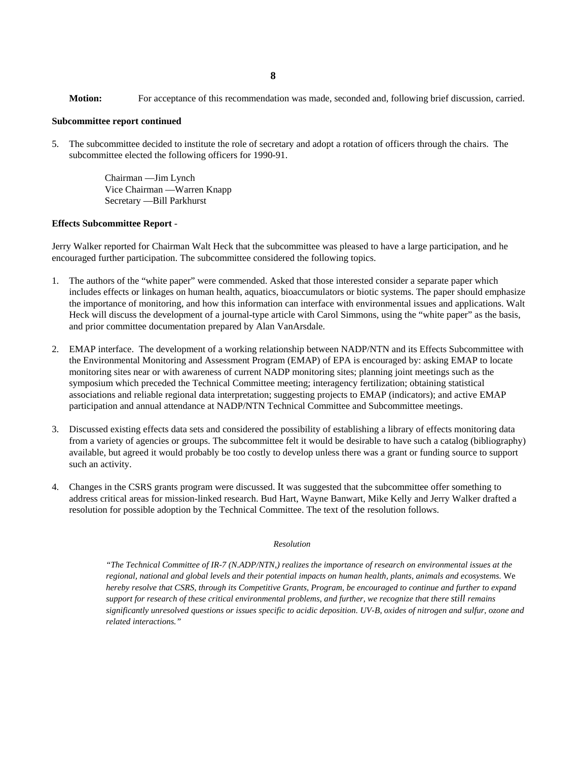**Motion:** For acceptance of this recommendation was made, seconded and, following brief discussion, carried.

### **Subcommittee report continued**

5. The subcommittee decided to institute the role of secretary and adopt a rotation of officers through the chairs. The subcommittee elected the following officers for 1990-91.

> Chairman —Jim Lynch Vice Chairman —Warren Knapp Secretary —Bill Parkhurst

#### **Effects Subcommittee Report** -

Jerry Walker reported for Chairman Walt Heck that the subcommittee was pleased to have a large participation, and he encouraged further participation. The subcommittee considered the following topics.

- 1. The authors of the "white paper" were commended. Asked that those interested consider a separate paper which includes effects or linkages on human health, aquatics, bioaccumulators or biotic systems. The paper should emphasize the importance of monitoring, and how this information can interface with environmental issues and applications. Walt Heck will discuss the development of a journal-type article with Carol Simmons, using the "white paper" as the basis, and prior committee documentation prepared by Alan VanArsdale.
- 2. EMAP interface. The development of a working relationship between NADP/NTN and its Effects Subcommittee with the Environmental Monitoring and Assessment Program (EMAP) of EPA is encouraged by: asking EMAP to locate monitoring sites near or with awareness of current NADP monitoring sites; planning joint meetings such as the symposium which preceded the Technical Committee meeting; interagency fertilization; obtaining statistical associations and reliable regional data interpretation; suggesting projects to EMAP (indicators); and active EMAP participation and annual attendance at NADP/NTN Technical Committee and Subcommittee meetings.
- 3. Discussed existing effects data sets and considered the possibility of establishing a library of effects monitoring data from a variety of agencies or groups. The subcommittee felt it would be desirable to have such a catalog (bibliography) available, but agreed it would probably be too costly to develop unless there was a grant or funding source to support such an activity.
- 4. Changes in the CSRS grants program were discussed. It was suggested that the subcommittee offer something to address critical areas for mission-linked research. Bud Hart, Wayne Banwart, Mike Kelly and Jerry Walker drafted a resolution for possible adoption by the Technical Committee. The text of the resolution follows.

#### *Resolution*

*"The Technical Committee of IR-7 (N.ADP/NTN,) realizes the importance of research on environmental issues at the regional, national and global levels and their potential impacts on human health, plants, animals and ecosystems.* We *hereby resolve that CSRS, through its Competitive Grants, Program, be encouraged to continue and further to expand support for research of these critical environmental problems, and further, we recognize that there still remains significantly unresolved questions or issues specific to acidic deposition. UV-B, oxides of nitrogen and sulfur, ozone and related interactions."*